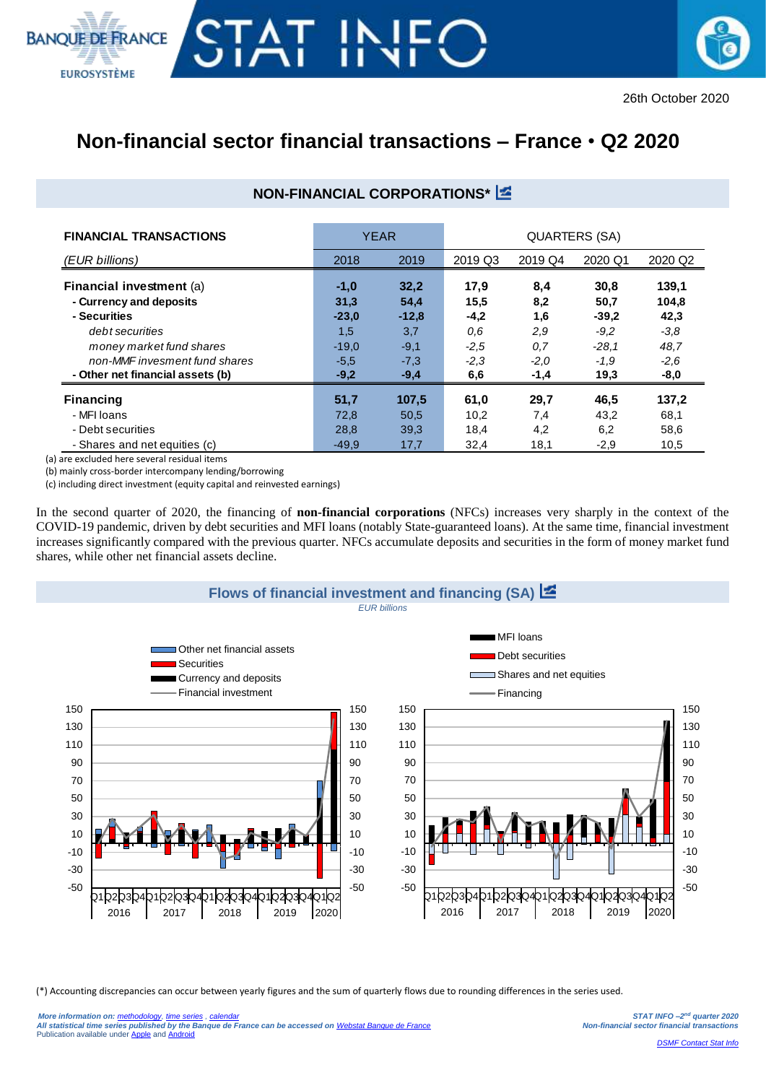



# **Non-financial sector financial transactions – France** • **Q2 2020**

## **NON-FINANCIAL CORPORATIONS\***

| <b>FINANCIAL TRANSACTIONS</b>                                                                                                                                                                  | <b>YEAR</b>                                                     |                                                              | QUARTERS (SA)                                            |                                                   |                                                                |                                                            |  |
|------------------------------------------------------------------------------------------------------------------------------------------------------------------------------------------------|-----------------------------------------------------------------|--------------------------------------------------------------|----------------------------------------------------------|---------------------------------------------------|----------------------------------------------------------------|------------------------------------------------------------|--|
| (EUR billions)                                                                                                                                                                                 | 2018                                                            | 2019                                                         | 2019 Q3                                                  | 2019 Q4                                           | 2020 Q1                                                        | 2020 Q2                                                    |  |
| <b>Financial investment (a)</b><br>- Currency and deposits<br>- Securities<br>debt securities<br>money market fund shares<br>non-MMF invesment fund shares<br>- Other net financial assets (b) | $-1,0$<br>31,3<br>$-23.0$<br>1,5<br>$-19.0$<br>$-5.5$<br>$-9,2$ | 32,2<br>54,4<br>$-12,8$<br>3,7<br>$-9,1$<br>$-7,3$<br>$-9,4$ | 17,9<br>15,5<br>$-4,2$<br>0,6<br>$-2,5$<br>$-2,3$<br>6,6 | 8,4<br>8,2<br>1,6<br>2,9<br>0,7<br>$-2,0$<br>-1,4 | 30,8<br>50,7<br>$-39.2$<br>$-9.2$<br>$-28.1$<br>$-1.9$<br>19,3 | 139.1<br>104,8<br>42,3<br>$-3.8$<br>48.7<br>$-2.6$<br>-8,0 |  |
| <b>Financing</b>                                                                                                                                                                               | 51,7                                                            | 107,5                                                        | 61,0                                                     | 29,7                                              | 46,5                                                           | 137,2                                                      |  |
| - MFI Ioans<br>- Debt securities                                                                                                                                                               | 72,8<br>28,8                                                    | 50,5<br>39,3                                                 | 10,2<br>18,4                                             | 7,4<br>4,2                                        | 43,2<br>6,2                                                    | 68,1<br>58,6                                               |  |
| - Shares and net equities (c)                                                                                                                                                                  | $-49.9$                                                         | 17,7                                                         | 32,4                                                     | 18,1                                              | $-2,9$                                                         | 10,5                                                       |  |

(a) are excluded here several residual items

(b) mainly cross-border intercompany lending/borrowing

(c) including direct investment (equity capital and reinvested earnings)

In the second quarter of 2020, the financing of **non-financial corporations** (NFCs) increases very sharply in the context of the COVID-19 pandemic, driven by debt securities and MFI loans (notably State-guaranteed loans). At the same time, financial investment increases significantly compared with the previous quarter. NFCs accumulate deposits and securities in the form of money market fund shares, while other net financial assets decline.



(\*) Accounting discrepancies can occur between yearly figures and the sum of quarterly flows due to rounding differences in the series used.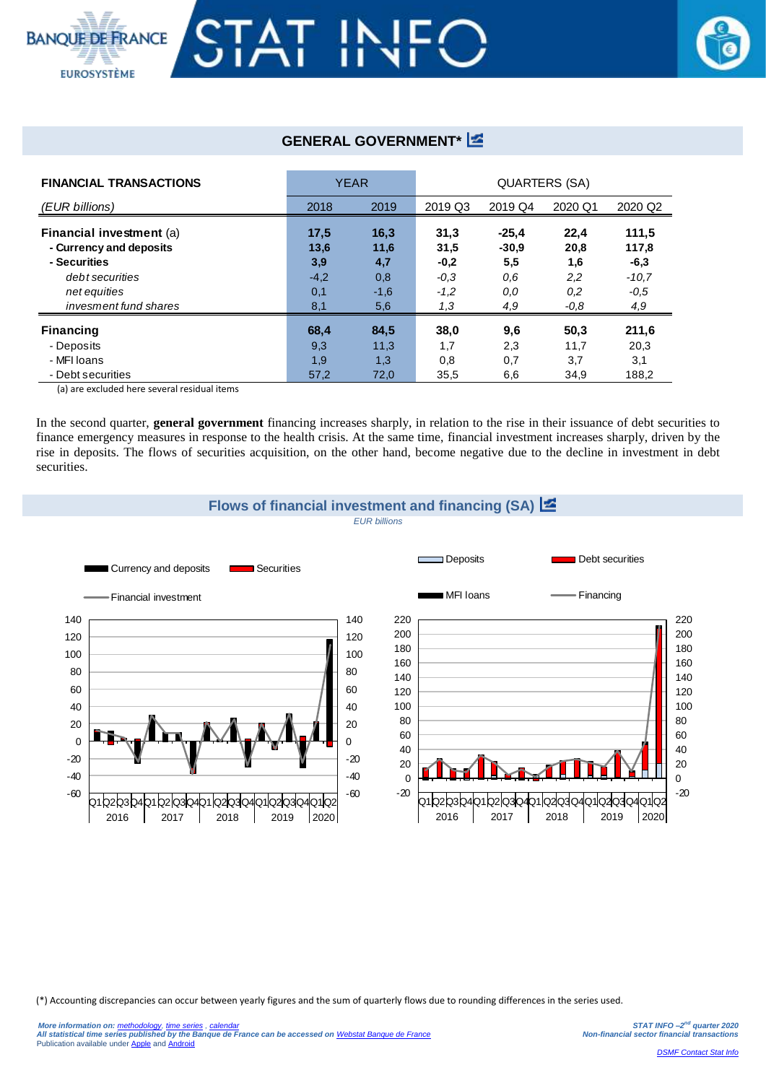

### **GENERAL GOVERNMENT\***

| <b>FINANCIAL TRANSACTIONS</b> | <b>YEAR</b> |        | QUARTERS (SA) |         |         |         |  |
|-------------------------------|-------------|--------|---------------|---------|---------|---------|--|
| (EUR billions)                | 2018        | 2019   | 2019 Q3       | 2019 Q4 | 2020 Q1 | 2020 Q2 |  |
| Financial investment (a)      | 17.5        | 16,3   | 31,3          | $-25.4$ | 22,4    | 111,5   |  |
| - Currency and deposits       | 13,6        | 11,6   | 31,5          | $-30.9$ | 20,8    | 117,8   |  |
| - Securities                  | 3,9         | 4,7    | $-0,2$        | 5,5     | 1,6     | $-6,3$  |  |
| debt securities               | $-4,2$      | 0,8    | $-0,3$        | 0.6     | 2,2     | $-10,7$ |  |
| net equities                  | 0,1         | $-1,6$ | $-1,2$        | 0.0     | 0,2     | $-0,5$  |  |
| invesment fund shares         | 8,1         | 5,6    | 1,3           | 4,9     | $-0,8$  | 4,9     |  |
| Financing                     | 68,4        | 84,5   | 38,0          | 9,6     | 50,3    | 211.6   |  |
| - Deposits                    | 9,3         | 11,3   | 1,7           | 2,3     | 11,7    | 20,3    |  |
| - MFI loans                   | 1,9         | 1,3    | 0,8           | 0,7     | 3,7     | 3,1     |  |
| - Debt securities             | 57,2        | 72,0   | 35,5          | 6,6     | 34,9    | 188,2   |  |

(a) are excluded here several residual items

In the second quarter, **general government** financing increases sharply, in relation to the rise in their issuance of debt securities to finance emergency measures in response to the health crisis. At the same time, financial investment increases sharply, driven by the rise in deposits. The flows of securities acquisition, on the other hand, become negative due to the decline in investment in debt securities.



(\*) Accounting discrepancies can occur between yearly figures and the sum of quarterly flows due to rounding differences in the series used.